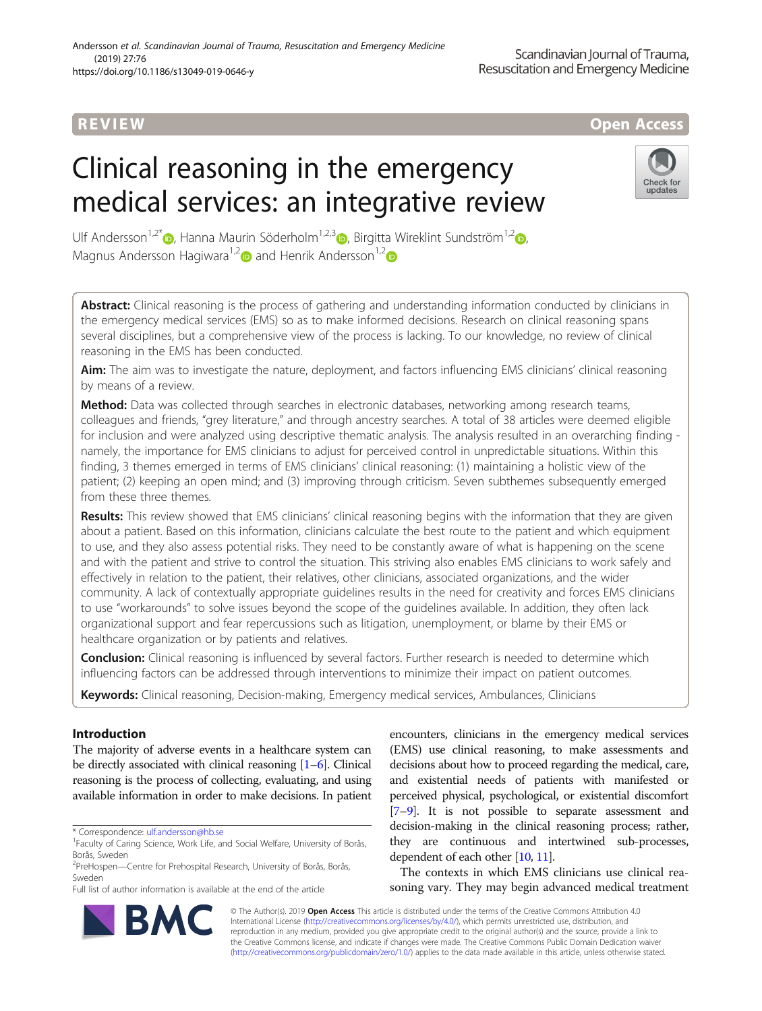## R EVI EW Open Access

# Clinical reasoning in the emergency medical services: an integrative review



Ulf Andersson<sup>1,2[\\*](http://orcid.org/0000-0002-1789-8158)</sup> [,](http://orcid.org/0000-0003-0279-8987) Hanna Maurin Söderholm<sup>1,2,3</sup> , Birgitta Wireklint Sundström<sup>1,2</sup> , Magnus Andersson Hagiwara<sup>1,[2](http://orcid.org/0000-0002-6888-9323)</sup> and Henrik Andersson<sup>1,2</sup>

Abstract: Clinical reasoning is the process of gathering and understanding information conducted by clinicians in the emergency medical services (EMS) so as to make informed decisions. Research on clinical reasoning spans several disciplines, but a comprehensive view of the process is lacking. To our knowledge, no review of clinical reasoning in the EMS has been conducted.

Aim: The aim was to investigate the nature, deployment, and factors influencing EMS clinicians' clinical reasoning by means of a review.

Method: Data was collected through searches in electronic databases, networking among research teams, colleagues and friends, "grey literature," and through ancestry searches. A total of 38 articles were deemed eligible for inclusion and were analyzed using descriptive thematic analysis. The analysis resulted in an overarching finding namely, the importance for EMS clinicians to adjust for perceived control in unpredictable situations. Within this finding, 3 themes emerged in terms of EMS clinicians' clinical reasoning: (1) maintaining a holistic view of the patient; (2) keeping an open mind; and (3) improving through criticism. Seven subthemes subsequently emerged from these three themes.

Results: This review showed that EMS clinicians' clinical reasoning begins with the information that they are given about a patient. Based on this information, clinicians calculate the best route to the patient and which equipment to use, and they also assess potential risks. They need to be constantly aware of what is happening on the scene and with the patient and strive to control the situation. This striving also enables EMS clinicians to work safely and effectively in relation to the patient, their relatives, other clinicians, associated organizations, and the wider community. A lack of contextually appropriate guidelines results in the need for creativity and forces EMS clinicians to use "workarounds" to solve issues beyond the scope of the guidelines available. In addition, they often lack organizational support and fear repercussions such as litigation, unemployment, or blame by their EMS or healthcare organization or by patients and relatives.

Conclusion: Clinical reasoning is influenced by several factors. Further research is needed to determine which influencing factors can be addressed through interventions to minimize their impact on patient outcomes.

Keywords: Clinical reasoning, Decision-making, Emergency medical services, Ambulances, Clinicians

## Introduction

The majority of adverse events in a healthcare system can be directly associated with clinical reasoning [[1](#page-9-0)–[6\]](#page-9-0). Clinical reasoning is the process of collecting, evaluating, and using available information in order to make decisions. In patient

\* Correspondence: [ulf.andersson@hb.se](mailto:ulf.andersson@hb.se) <sup>1</sup>

<sup>2</sup>PreHospen—Centre for Prehospital Research, University of Borås, Borås, Sweden

Full list of author information is available at the end of the article

encounters, clinicians in the emergency medical services (EMS) use clinical reasoning, to make assessments and decisions about how to proceed regarding the medical, care, and existential needs of patients with manifested or perceived physical, psychological, or existential discomfort [[7](#page-9-0)–[9\]](#page-9-0). It is not possible to separate assessment and decision-making in the clinical reasoning process; rather, they are continuous and intertwined sub-processes, dependent of each other [[10,](#page-9-0) [11\]](#page-9-0).

The contexts in which EMS clinicians use clinical reasoning vary. They may begin advanced medical treatment



© The Author(s). 2019 Open Access This article is distributed under the terms of the Creative Commons Attribution 4.0 International License [\(http://creativecommons.org/licenses/by/4.0/](http://creativecommons.org/licenses/by/4.0/)), which permits unrestricted use, distribution, and reproduction in any medium, provided you give appropriate credit to the original author(s) and the source, provide a link to the Creative Commons license, and indicate if changes were made. The Creative Commons Public Domain Dedication waiver [\(http://creativecommons.org/publicdomain/zero/1.0/](http://creativecommons.org/publicdomain/zero/1.0/)) applies to the data made available in this article, unless otherwise stated.

<sup>&</sup>lt;sup>1</sup> Faculty of Caring Science, Work Life, and Social Welfare, University of Borås, Borås, Sweden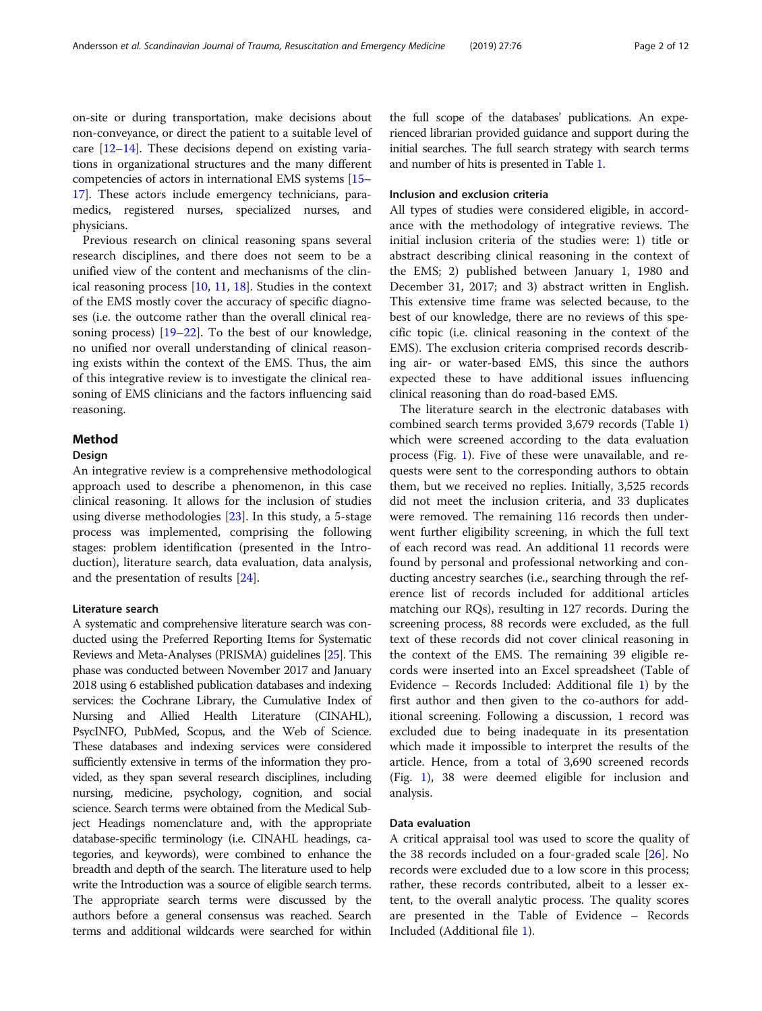on-site or during transportation, make decisions about non-conveyance, or direct the patient to a suitable level of care  $[12-14]$  $[12-14]$  $[12-14]$  $[12-14]$ . These decisions depend on existing variations in organizational structures and the many different competencies of actors in international EMS systems [\[15](#page-9-0)– [17](#page-10-0)]. These actors include emergency technicians, paramedics, registered nurses, specialized nurses, and physicians.

Previous research on clinical reasoning spans several research disciplines, and there does not seem to be a unified view of the content and mechanisms of the clinical reasoning process [[10](#page-9-0), [11](#page-9-0), [18](#page-10-0)]. Studies in the context of the EMS mostly cover the accuracy of specific diagnoses (i.e. the outcome rather than the overall clinical reasoning process) [[19](#page-10-0)–[22\]](#page-10-0). To the best of our knowledge, no unified nor overall understanding of clinical reasoning exists within the context of the EMS. Thus, the aim of this integrative review is to investigate the clinical reasoning of EMS clinicians and the factors influencing said reasoning.

## Method

## Design

An integrative review is a comprehensive methodological approach used to describe a phenomenon, in this case clinical reasoning. It allows for the inclusion of studies using diverse methodologies [\[23\]](#page-10-0). In this study, a 5-stage process was implemented, comprising the following stages: problem identification (presented in the Introduction), literature search, data evaluation, data analysis, and the presentation of results [[24\]](#page-10-0).

## Literature search

A systematic and comprehensive literature search was conducted using the Preferred Reporting Items for Systematic Reviews and Meta-Analyses (PRISMA) guidelines [\[25](#page-10-0)]. This phase was conducted between November 2017 and January 2018 using 6 established publication databases and indexing services: the Cochrane Library, the Cumulative Index of Nursing and Allied Health Literature (CINAHL), PsycINFO, PubMed, Scopus, and the Web of Science. These databases and indexing services were considered sufficiently extensive in terms of the information they provided, as they span several research disciplines, including nursing, medicine, psychology, cognition, and social science. Search terms were obtained from the Medical Subject Headings nomenclature and, with the appropriate database-specific terminology (i.e. CINAHL headings, categories, and keywords), were combined to enhance the breadth and depth of the search. The literature used to help write the Introduction was a source of eligible search terms. The appropriate search terms were discussed by the authors before a general consensus was reached. Search terms and additional wildcards were searched for within

the full scope of the databases' publications. An experienced librarian provided guidance and support during the initial searches. The full search strategy with search terms and number of hits is presented in Table [1](#page-2-0).

## Inclusion and exclusion criteria

All types of studies were considered eligible, in accordance with the methodology of integrative reviews. The initial inclusion criteria of the studies were: 1) title or abstract describing clinical reasoning in the context of the EMS; 2) published between January 1, 1980 and December 31, 2017; and 3) abstract written in English. This extensive time frame was selected because, to the best of our knowledge, there are no reviews of this specific topic (i.e. clinical reasoning in the context of the EMS). The exclusion criteria comprised records describing air- or water-based EMS, this since the authors expected these to have additional issues influencing clinical reasoning than do road-based EMS.

The literature search in the electronic databases with combined search terms provided 3,679 records (Table [1](#page-2-0)) which were screened according to the data evaluation process (Fig. [1\)](#page-3-0). Five of these were unavailable, and requests were sent to the corresponding authors to obtain them, but we received no replies. Initially, 3,525 records did not meet the inclusion criteria, and 33 duplicates were removed. The remaining 116 records then underwent further eligibility screening, in which the full text of each record was read. An additional 11 records were found by personal and professional networking and conducting ancestry searches (i.e., searching through the reference list of records included for additional articles matching our RQs), resulting in 127 records. During the screening process, 88 records were excluded, as the full text of these records did not cover clinical reasoning in the context of the EMS. The remaining 39 eligible records were inserted into an Excel spreadsheet (Table of Evidence – Records Included: Additional file [1](#page-9-0)) by the first author and then given to the co-authors for additional screening. Following a discussion, 1 record was excluded due to being inadequate in its presentation which made it impossible to interpret the results of the article. Hence, from a total of 3,690 screened records (Fig. [1\)](#page-3-0), 38 were deemed eligible for inclusion and analysis.

## Data evaluation

A critical appraisal tool was used to score the quality of the 38 records included on a four-graded scale [\[26](#page-10-0)]. No records were excluded due to a low score in this process; rather, these records contributed, albeit to a lesser extent, to the overall analytic process. The quality scores are presented in the Table of Evidence – Records Included (Additional file [1\)](#page-9-0).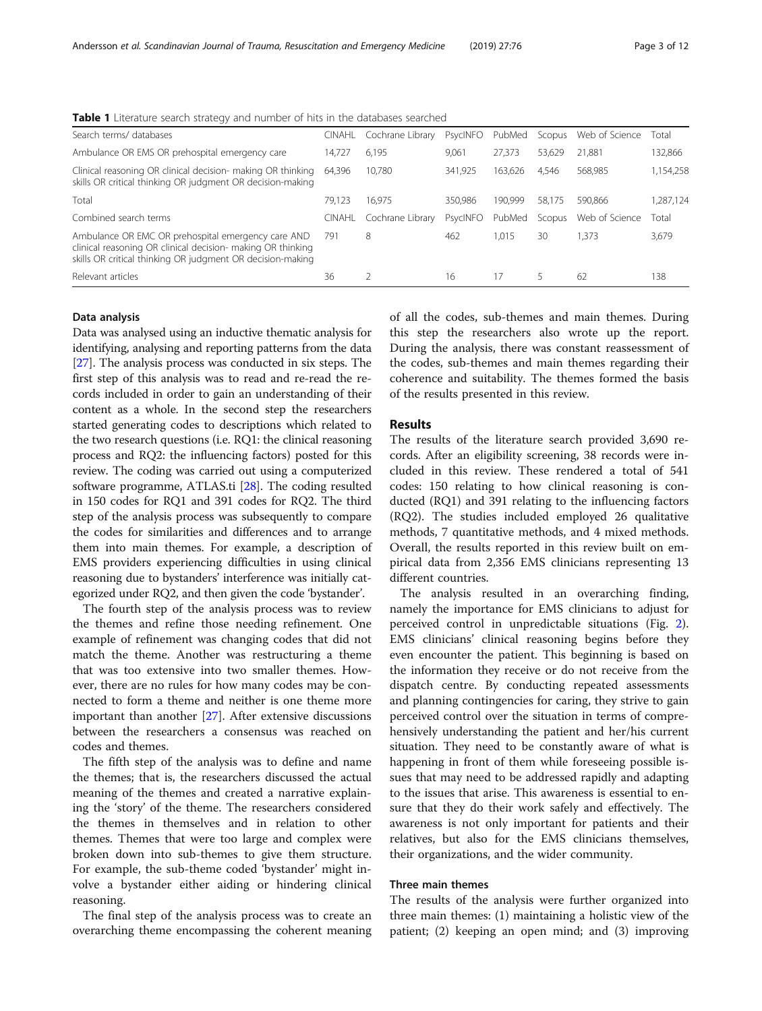<span id="page-2-0"></span>Table 1 Literature search strategy and number of hits in the databases searched

| Search terms/ databases                                                                                                                                                         | <b>CINAHL</b> | Cochrane Library | PsycINFO | PubMed  | Scopus | Web of Science | Total     |
|---------------------------------------------------------------------------------------------------------------------------------------------------------------------------------|---------------|------------------|----------|---------|--------|----------------|-----------|
| Ambulance OR EMS OR prehospital emergency care                                                                                                                                  | 14.727        | 6.195            | 9.061    | 27.373  | 53.629 | 21.881         | 132,866   |
| Clinical reasoning OR clinical decision- making OR thinking<br>skills OR critical thinking OR judgment OR decision-making                                                       | 64.396        | 10.780           | 341,925  | 163.626 | 4.546  | 568.985        | 1,154,258 |
| Total                                                                                                                                                                           | 79.123        | 16.975           | 350.986  | 190.999 | 58.175 | 590.866        | ,287,124  |
| Combined search terms                                                                                                                                                           | CINAHL        | Cochrane Library | PsycINFO | PubMed  | Scopus | Web of Science | Total     |
| Ambulance OR EMC OR prehospital emergency care AND<br>clinical reasoning OR clinical decision- making OR thinking<br>skills OR critical thinking OR judgment OR decision-making | 791           | 8                | 462      | 1.015   | 30     | 1,373          | 3,679     |
| Relevant articles                                                                                                                                                               | 36            |                  | 16       | 17      | 5      | 62             | 138       |

## Data analysis

Data was analysed using an inductive thematic analysis for identifying, analysing and reporting patterns from the data [[27](#page-10-0)]. The analysis process was conducted in six steps. The first step of this analysis was to read and re-read the records included in order to gain an understanding of their content as a whole. In the second step the researchers started generating codes to descriptions which related to the two research questions (i.e. RQ1: the clinical reasoning process and RQ2: the influencing factors) posted for this review. The coding was carried out using a computerized software programme, ATLAS.ti [[28](#page-10-0)]. The coding resulted in 150 codes for RQ1 and 391 codes for RQ2. The third step of the analysis process was subsequently to compare the codes for similarities and differences and to arrange them into main themes. For example, a description of EMS providers experiencing difficulties in using clinical reasoning due to bystanders' interference was initially categorized under RQ2, and then given the code 'bystander'.

The fourth step of the analysis process was to review the themes and refine those needing refinement. One example of refinement was changing codes that did not match the theme. Another was restructuring a theme that was too extensive into two smaller themes. However, there are no rules for how many codes may be connected to form a theme and neither is one theme more important than another [[27\]](#page-10-0). After extensive discussions between the researchers a consensus was reached on codes and themes.

The fifth step of the analysis was to define and name the themes; that is, the researchers discussed the actual meaning of the themes and created a narrative explaining the 'story' of the theme. The researchers considered the themes in themselves and in relation to other themes. Themes that were too large and complex were broken down into sub-themes to give them structure. For example, the sub-theme coded 'bystander' might involve a bystander either aiding or hindering clinical reasoning.

The final step of the analysis process was to create an overarching theme encompassing the coherent meaning of all the codes, sub-themes and main themes. During this step the researchers also wrote up the report. During the analysis, there was constant reassessment of the codes, sub-themes and main themes regarding their coherence and suitability. The themes formed the basis of the results presented in this review.

## Results

The results of the literature search provided 3,690 records. After an eligibility screening, 38 records were included in this review. These rendered a total of 541 codes: 150 relating to how clinical reasoning is conducted (RQ1) and 391 relating to the influencing factors (RQ2). The studies included employed 26 qualitative methods, 7 quantitative methods, and 4 mixed methods. Overall, the results reported in this review built on empirical data from 2,356 EMS clinicians representing 13 different countries.

The analysis resulted in an overarching finding, namely the importance for EMS clinicians to adjust for perceived control in unpredictable situations (Fig. [2](#page-4-0)). EMS clinicians' clinical reasoning begins before they even encounter the patient. This beginning is based on the information they receive or do not receive from the dispatch centre. By conducting repeated assessments and planning contingencies for caring, they strive to gain perceived control over the situation in terms of comprehensively understanding the patient and her/his current situation. They need to be constantly aware of what is happening in front of them while foreseeing possible issues that may need to be addressed rapidly and adapting to the issues that arise. This awareness is essential to ensure that they do their work safely and effectively. The awareness is not only important for patients and their relatives, but also for the EMS clinicians themselves, their organizations, and the wider community.

## Three main themes

The results of the analysis were further organized into three main themes: (1) maintaining a holistic view of the patient; (2) keeping an open mind; and (3) improving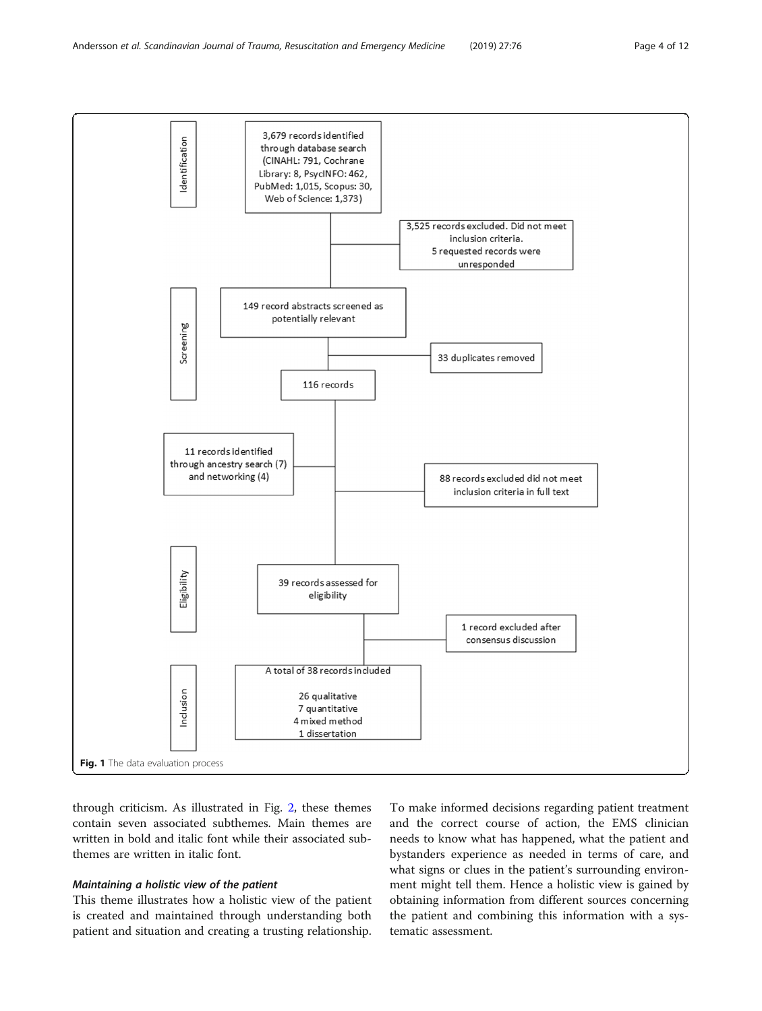<span id="page-3-0"></span>

through criticism. As illustrated in Fig. [2,](#page-4-0) these themes contain seven associated subthemes. Main themes are written in bold and italic font while their associated subthemes are written in italic font.

## Maintaining a holistic view of the patient

This theme illustrates how a holistic view of the patient is created and maintained through understanding both patient and situation and creating a trusting relationship.

To make informed decisions regarding patient treatment and the correct course of action, the EMS clinician needs to know what has happened, what the patient and bystanders experience as needed in terms of care, and what signs or clues in the patient's surrounding environment might tell them. Hence a holistic view is gained by obtaining information from different sources concerning the patient and combining this information with a systematic assessment.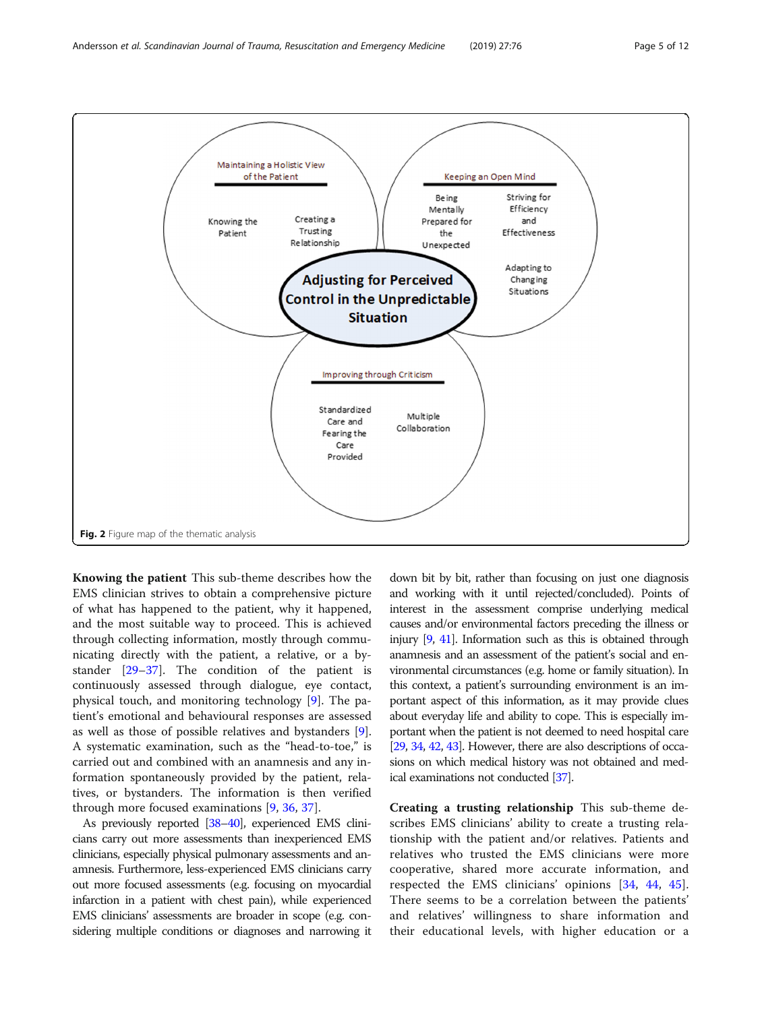<span id="page-4-0"></span>

Knowing the patient This sub-theme describes how the EMS clinician strives to obtain a comprehensive picture of what has happened to the patient, why it happened, and the most suitable way to proceed. This is achieved through collecting information, mostly through communicating directly with the patient, a relative, or a bystander [\[29](#page-10-0)–[37\]](#page-10-0). The condition of the patient is continuously assessed through dialogue, eye contact, physical touch, and monitoring technology [\[9\]](#page-9-0). The patient's emotional and behavioural responses are assessed as well as those of possible relatives and bystanders [\[9](#page-9-0)]. A systematic examination, such as the "head-to-toe," is carried out and combined with an anamnesis and any information spontaneously provided by the patient, relatives, or bystanders. The information is then verified through more focused examinations [[9,](#page-9-0) [36,](#page-10-0) [37\]](#page-10-0).

As previously reported [\[38](#page-10-0)–[40](#page-10-0)], experienced EMS clinicians carry out more assessments than inexperienced EMS clinicians, especially physical pulmonary assessments and anamnesis. Furthermore, less-experienced EMS clinicians carry out more focused assessments (e.g. focusing on myocardial infarction in a patient with chest pain), while experienced EMS clinicians' assessments are broader in scope (e.g. considering multiple conditions or diagnoses and narrowing it

down bit by bit, rather than focusing on just one diagnosis and working with it until rejected/concluded). Points of interest in the assessment comprise underlying medical causes and/or environmental factors preceding the illness or injury [\[9](#page-9-0), [41\]](#page-10-0). Information such as this is obtained through anamnesis and an assessment of the patient's social and environmental circumstances (e.g. home or family situation). In this context, a patient's surrounding environment is an important aspect of this information, as it may provide clues about everyday life and ability to cope. This is especially important when the patient is not deemed to need hospital care [[29,](#page-10-0) [34,](#page-10-0) [42,](#page-10-0) [43](#page-10-0)]. However, there are also descriptions of occasions on which medical history was not obtained and medical examinations not conducted [\[37\]](#page-10-0).

Creating a trusting relationship This sub-theme describes EMS clinicians' ability to create a trusting relationship with the patient and/or relatives. Patients and relatives who trusted the EMS clinicians were more cooperative, shared more accurate information, and respected the EMS clinicians' opinions [[34,](#page-10-0) [44](#page-10-0), [45](#page-10-0)]. There seems to be a correlation between the patients' and relatives' willingness to share information and their educational levels, with higher education or a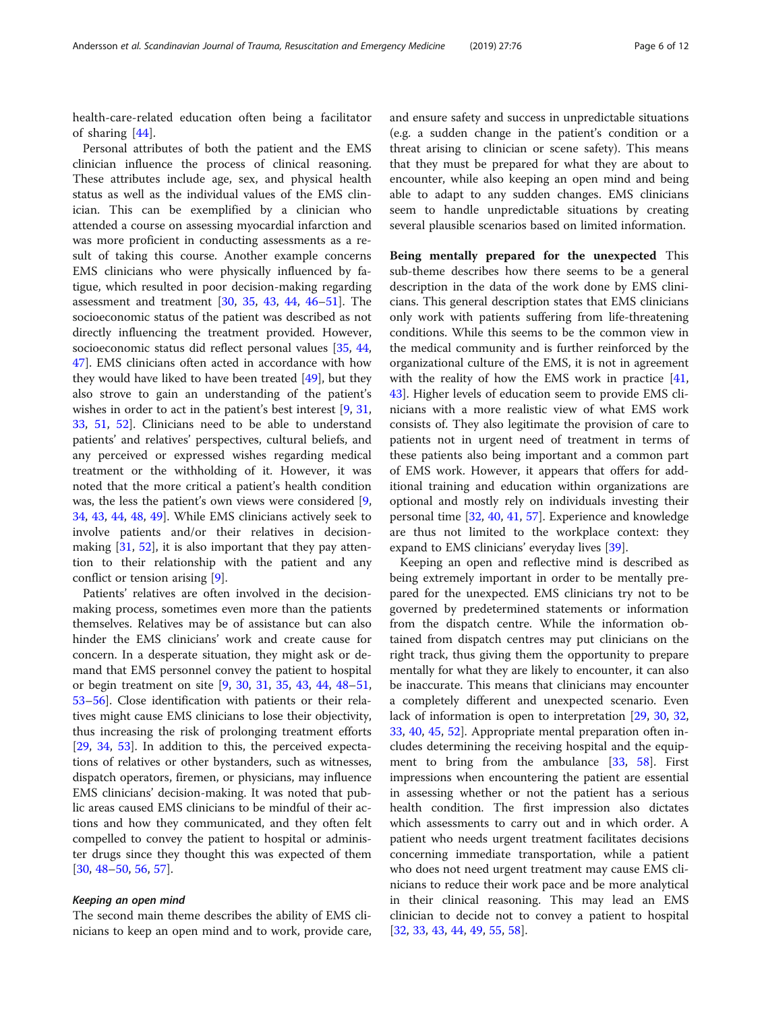health-care-related education often being a facilitator of sharing [\[44](#page-10-0)].

Personal attributes of both the patient and the EMS clinician influence the process of clinical reasoning. These attributes include age, sex, and physical health status as well as the individual values of the EMS clinician. This can be exemplified by a clinician who attended a course on assessing myocardial infarction and was more proficient in conducting assessments as a result of taking this course. Another example concerns EMS clinicians who were physically influenced by fatigue, which resulted in poor decision-making regarding assessment and treatment [\[30](#page-10-0), [35,](#page-10-0) [43,](#page-10-0) [44](#page-10-0), [46](#page-10-0)–[51\]](#page-10-0). The socioeconomic status of the patient was described as not directly influencing the treatment provided. However, socioeconomic status did reflect personal values [\[35,](#page-10-0) [44](#page-10-0), [47\]](#page-10-0). EMS clinicians often acted in accordance with how they would have liked to have been treated [[49](#page-10-0)], but they also strove to gain an understanding of the patient's wishes in order to act in the patient's best interest [[9](#page-9-0), [31](#page-10-0), [33,](#page-10-0) [51,](#page-10-0) [52\]](#page-10-0). Clinicians need to be able to understand patients' and relatives' perspectives, cultural beliefs, and any perceived or expressed wishes regarding medical treatment or the withholding of it. However, it was noted that the more critical a patient's health condition was, the less the patient's own views were considered [\[9](#page-9-0), [34,](#page-10-0) [43,](#page-10-0) [44,](#page-10-0) [48](#page-10-0), [49](#page-10-0)]. While EMS clinicians actively seek to involve patients and/or their relatives in decisionmaking [\[31](#page-10-0), [52](#page-10-0)], it is also important that they pay attention to their relationship with the patient and any conflict or tension arising [[9\]](#page-9-0).

Patients' relatives are often involved in the decisionmaking process, sometimes even more than the patients themselves. Relatives may be of assistance but can also hinder the EMS clinicians' work and create cause for concern. In a desperate situation, they might ask or demand that EMS personnel convey the patient to hospital or begin treatment on site [[9,](#page-9-0) [30](#page-10-0), [31](#page-10-0), [35,](#page-10-0) [43](#page-10-0), [44](#page-10-0), [48](#page-10-0)–[51](#page-10-0), [53](#page-10-0)–[56](#page-10-0)]. Close identification with patients or their relatives might cause EMS clinicians to lose their objectivity, thus increasing the risk of prolonging treatment efforts [[29,](#page-10-0) [34,](#page-10-0) [53](#page-10-0)]. In addition to this, the perceived expectations of relatives or other bystanders, such as witnesses, dispatch operators, firemen, or physicians, may influence EMS clinicians' decision-making. It was noted that public areas caused EMS clinicians to be mindful of their actions and how they communicated, and they often felt compelled to convey the patient to hospital or administer drugs since they thought this was expected of them [[30,](#page-10-0) [48](#page-10-0)–[50](#page-10-0), [56](#page-10-0), [57](#page-10-0)].

## Keeping an open mind

The second main theme describes the ability of EMS clinicians to keep an open mind and to work, provide care, and ensure safety and success in unpredictable situations (e.g. a sudden change in the patient's condition or a threat arising to clinician or scene safety). This means that they must be prepared for what they are about to encounter, while also keeping an open mind and being able to adapt to any sudden changes. EMS clinicians seem to handle unpredictable situations by creating several plausible scenarios based on limited information.

Being mentally prepared for the unexpected This sub-theme describes how there seems to be a general description in the data of the work done by EMS clinicians. This general description states that EMS clinicians only work with patients suffering from life-threatening conditions. While this seems to be the common view in the medical community and is further reinforced by the organizational culture of the EMS, it is not in agreement with the reality of how the EMS work in practice [[41](#page-10-0), [43\]](#page-10-0). Higher levels of education seem to provide EMS clinicians with a more realistic view of what EMS work consists of. They also legitimate the provision of care to patients not in urgent need of treatment in terms of these patients also being important and a common part of EMS work. However, it appears that offers for additional training and education within organizations are optional and mostly rely on individuals investing their personal time [[32](#page-10-0), [40](#page-10-0), [41](#page-10-0), [57](#page-10-0)]. Experience and knowledge are thus not limited to the workplace context: they expand to EMS clinicians' everyday lives [\[39\]](#page-10-0).

Keeping an open and reflective mind is described as being extremely important in order to be mentally prepared for the unexpected. EMS clinicians try not to be governed by predetermined statements or information from the dispatch centre. While the information obtained from dispatch centres may put clinicians on the right track, thus giving them the opportunity to prepare mentally for what they are likely to encounter, it can also be inaccurate. This means that clinicians may encounter a completely different and unexpected scenario. Even lack of information is open to interpretation [[29,](#page-10-0) [30](#page-10-0), [32](#page-10-0), [33,](#page-10-0) [40,](#page-10-0) [45,](#page-10-0) [52\]](#page-10-0). Appropriate mental preparation often includes determining the receiving hospital and the equip-ment to bring from the ambulance [[33,](#page-10-0) [58\]](#page-10-0). First impressions when encountering the patient are essential in assessing whether or not the patient has a serious health condition. The first impression also dictates which assessments to carry out and in which order. A patient who needs urgent treatment facilitates decisions concerning immediate transportation, while a patient who does not need urgent treatment may cause EMS clinicians to reduce their work pace and be more analytical in their clinical reasoning. This may lead an EMS clinician to decide not to convey a patient to hospital [[32,](#page-10-0) [33,](#page-10-0) [43,](#page-10-0) [44](#page-10-0), [49](#page-10-0), [55](#page-10-0), [58](#page-10-0)].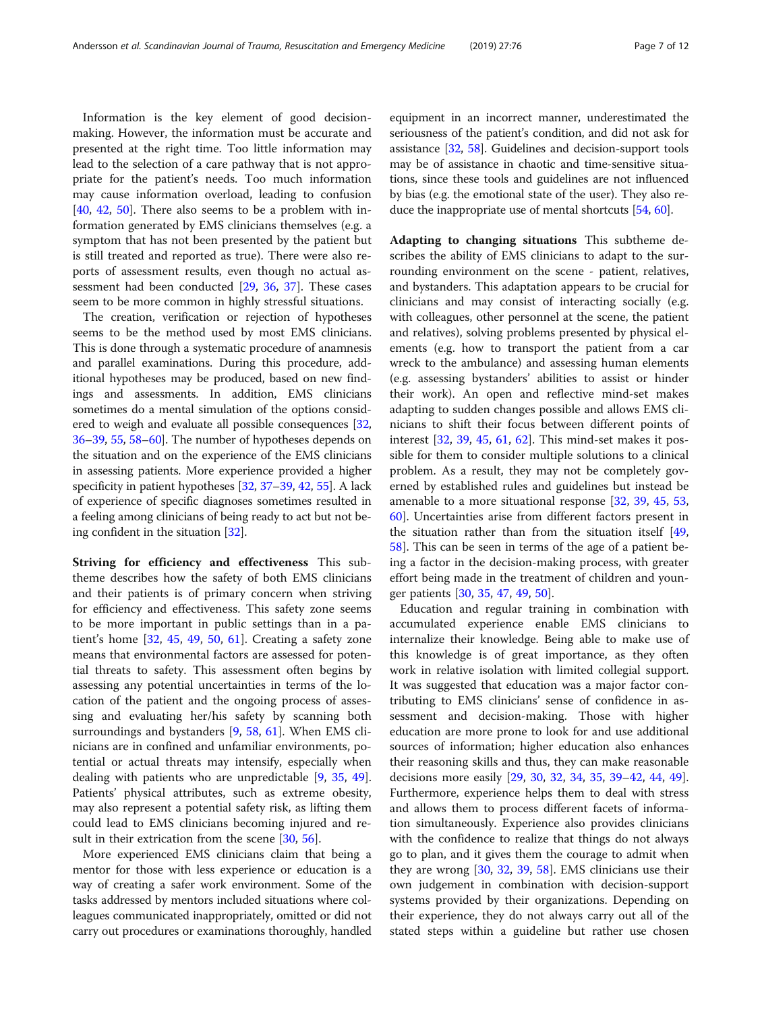Information is the key element of good decisionmaking. However, the information must be accurate and presented at the right time. Too little information may lead to the selection of a care pathway that is not appropriate for the patient's needs. Too much information may cause information overload, leading to confusion [[40,](#page-10-0) [42](#page-10-0), [50](#page-10-0)]. There also seems to be a problem with information generated by EMS clinicians themselves (e.g. a symptom that has not been presented by the patient but is still treated and reported as true). There were also reports of assessment results, even though no actual assessment had been conducted [[29,](#page-10-0) [36,](#page-10-0) [37\]](#page-10-0). These cases seem to be more common in highly stressful situations.

The creation, verification or rejection of hypotheses seems to be the method used by most EMS clinicians. This is done through a systematic procedure of anamnesis and parallel examinations. During this procedure, additional hypotheses may be produced, based on new findings and assessments. In addition, EMS clinicians sometimes do a mental simulation of the options considered to weigh and evaluate all possible consequences [[32](#page-10-0), [36](#page-10-0)–[39,](#page-10-0) [55](#page-10-0), [58](#page-10-0)–[60](#page-10-0)]. The number of hypotheses depends on the situation and on the experience of the EMS clinicians in assessing patients. More experience provided a higher specificity in patient hypotheses [\[32,](#page-10-0) [37](#page-10-0)–[39,](#page-10-0) [42,](#page-10-0) [55](#page-10-0)]. A lack of experience of specific diagnoses sometimes resulted in a feeling among clinicians of being ready to act but not being confident in the situation [\[32\]](#page-10-0).

Striving for efficiency and effectiveness This subtheme describes how the safety of both EMS clinicians and their patients is of primary concern when striving for efficiency and effectiveness. This safety zone seems to be more important in public settings than in a patient's home [[32,](#page-10-0) [45,](#page-10-0) [49,](#page-10-0) [50](#page-10-0), [61](#page-10-0)]. Creating a safety zone means that environmental factors are assessed for potential threats to safety. This assessment often begins by assessing any potential uncertainties in terms of the location of the patient and the ongoing process of assessing and evaluating her/his safety by scanning both surroundings and bystanders [\[9,](#page-9-0) [58](#page-10-0), [61\]](#page-10-0). When EMS clinicians are in confined and unfamiliar environments, potential or actual threats may intensify, especially when dealing with patients who are unpredictable [\[9](#page-9-0), [35](#page-10-0), [49](#page-10-0)]. Patients' physical attributes, such as extreme obesity, may also represent a potential safety risk, as lifting them could lead to EMS clinicians becoming injured and re-sult in their extrication from the scene [\[30,](#page-10-0) [56\]](#page-10-0).

More experienced EMS clinicians claim that being a mentor for those with less experience or education is a way of creating a safer work environment. Some of the tasks addressed by mentors included situations where colleagues communicated inappropriately, omitted or did not carry out procedures or examinations thoroughly, handled equipment in an incorrect manner, underestimated the seriousness of the patient's condition, and did not ask for assistance [[32](#page-10-0), [58](#page-10-0)]. Guidelines and decision-support tools may be of assistance in chaotic and time-sensitive situations, since these tools and guidelines are not influenced by bias (e.g. the emotional state of the user). They also reduce the inappropriate use of mental shortcuts [\[54,](#page-10-0) [60](#page-10-0)].

Adapting to changing situations This subtheme describes the ability of EMS clinicians to adapt to the surrounding environment on the scene - patient, relatives, and bystanders. This adaptation appears to be crucial for clinicians and may consist of interacting socially (e.g. with colleagues, other personnel at the scene, the patient and relatives), solving problems presented by physical elements (e.g. how to transport the patient from a car wreck to the ambulance) and assessing human elements (e.g. assessing bystanders' abilities to assist or hinder their work). An open and reflective mind-set makes adapting to sudden changes possible and allows EMS clinicians to shift their focus between different points of interest [[32,](#page-10-0) [39,](#page-10-0) [45](#page-10-0), [61,](#page-10-0) [62\]](#page-10-0). This mind-set makes it possible for them to consider multiple solutions to a clinical problem. As a result, they may not be completely governed by established rules and guidelines but instead be amenable to a more situational response [\[32,](#page-10-0) [39](#page-10-0), [45,](#page-10-0) [53](#page-10-0), [60\]](#page-10-0). Uncertainties arise from different factors present in the situation rather than from the situation itself [[49](#page-10-0), [58\]](#page-10-0). This can be seen in terms of the age of a patient being a factor in the decision-making process, with greater effort being made in the treatment of children and younger patients [[30,](#page-10-0) [35](#page-10-0), [47](#page-10-0), [49](#page-10-0), [50](#page-10-0)].

Education and regular training in combination with accumulated experience enable EMS clinicians to internalize their knowledge. Being able to make use of this knowledge is of great importance, as they often work in relative isolation with limited collegial support. It was suggested that education was a major factor contributing to EMS clinicians' sense of confidence in assessment and decision-making. Those with higher education are more prone to look for and use additional sources of information; higher education also enhances their reasoning skills and thus, they can make reasonable decisions more easily [\[29,](#page-10-0) [30,](#page-10-0) [32,](#page-10-0) [34,](#page-10-0) [35](#page-10-0), [39](#page-10-0)–[42](#page-10-0), [44,](#page-10-0) [49](#page-10-0)]. Furthermore, experience helps them to deal with stress and allows them to process different facets of information simultaneously. Experience also provides clinicians with the confidence to realize that things do not always go to plan, and it gives them the courage to admit when they are wrong [[30](#page-10-0), [32,](#page-10-0) [39](#page-10-0), [58](#page-10-0)]. EMS clinicians use their own judgement in combination with decision-support systems provided by their organizations. Depending on their experience, they do not always carry out all of the stated steps within a guideline but rather use chosen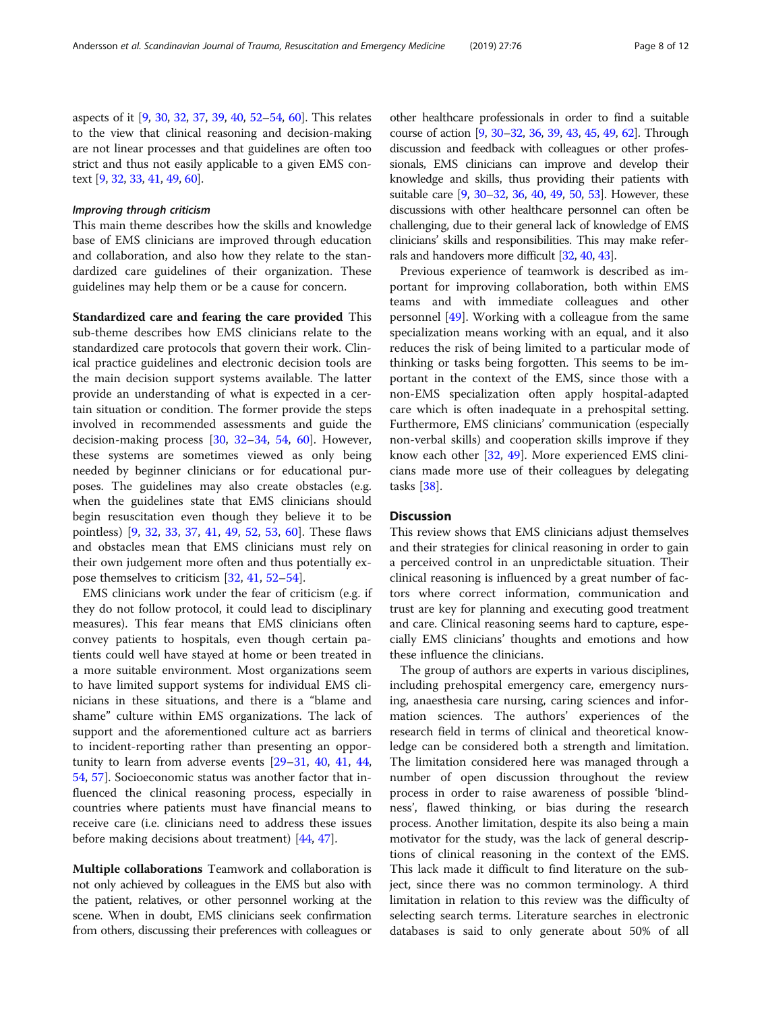aspects of it [\[9,](#page-9-0) [30,](#page-10-0) [32,](#page-10-0) [37](#page-10-0), [39](#page-10-0), [40](#page-10-0), [52](#page-10-0)–[54,](#page-10-0) [60](#page-10-0)]. This relates to the view that clinical reasoning and decision-making are not linear processes and that guidelines are often too strict and thus not easily applicable to a given EMS context [[9](#page-9-0), [32,](#page-10-0) [33](#page-10-0), [41](#page-10-0), [49,](#page-10-0) [60](#page-10-0)].

## Improving through criticism

This main theme describes how the skills and knowledge base of EMS clinicians are improved through education and collaboration, and also how they relate to the standardized care guidelines of their organization. These guidelines may help them or be a cause for concern.

Standardized care and fearing the care provided This sub-theme describes how EMS clinicians relate to the standardized care protocols that govern their work. Clinical practice guidelines and electronic decision tools are the main decision support systems available. The latter provide an understanding of what is expected in a certain situation or condition. The former provide the steps involved in recommended assessments and guide the decision-making process [[30](#page-10-0), [32](#page-10-0)–[34,](#page-10-0) [54](#page-10-0), [60\]](#page-10-0). However, these systems are sometimes viewed as only being needed by beginner clinicians or for educational purposes. The guidelines may also create obstacles (e.g. when the guidelines state that EMS clinicians should begin resuscitation even though they believe it to be pointless) [[9,](#page-9-0) [32](#page-10-0), [33,](#page-10-0) [37,](#page-10-0) [41](#page-10-0), [49,](#page-10-0) [52,](#page-10-0) [53](#page-10-0), [60\]](#page-10-0). These flaws and obstacles mean that EMS clinicians must rely on their own judgement more often and thus potentially expose themselves to criticism [\[32](#page-10-0), [41,](#page-10-0) [52](#page-10-0)–[54\]](#page-10-0).

EMS clinicians work under the fear of criticism (e.g. if they do not follow protocol, it could lead to disciplinary measures). This fear means that EMS clinicians often convey patients to hospitals, even though certain patients could well have stayed at home or been treated in a more suitable environment. Most organizations seem to have limited support systems for individual EMS clinicians in these situations, and there is a "blame and shame" culture within EMS organizations. The lack of support and the aforementioned culture act as barriers to incident-reporting rather than presenting an opportunity to learn from adverse events [\[29](#page-10-0)–[31,](#page-10-0) [40,](#page-10-0) [41](#page-10-0), [44](#page-10-0), [54,](#page-10-0) [57](#page-10-0)]. Socioeconomic status was another factor that influenced the clinical reasoning process, especially in countries where patients must have financial means to receive care (i.e. clinicians need to address these issues before making decisions about treatment) [[44,](#page-10-0) [47\]](#page-10-0).

Multiple collaborations Teamwork and collaboration is not only achieved by colleagues in the EMS but also with the patient, relatives, or other personnel working at the scene. When in doubt, EMS clinicians seek confirmation from others, discussing their preferences with colleagues or other healthcare professionals in order to find a suitable course of action [\[9,](#page-9-0) [30](#page-10-0)–[32,](#page-10-0) [36](#page-10-0), [39,](#page-10-0) [43](#page-10-0), [45,](#page-10-0) [49](#page-10-0), [62\]](#page-10-0). Through discussion and feedback with colleagues or other professionals, EMS clinicians can improve and develop their knowledge and skills, thus providing their patients with suitable care [\[9](#page-9-0), [30](#page-10-0)–[32](#page-10-0), [36](#page-10-0), [40,](#page-10-0) [49,](#page-10-0) [50,](#page-10-0) [53](#page-10-0)]. However, these discussions with other healthcare personnel can often be challenging, due to their general lack of knowledge of EMS clinicians' skills and responsibilities. This may make referrals and handovers more difficult [[32](#page-10-0), [40](#page-10-0), [43](#page-10-0)].

Previous experience of teamwork is described as important for improving collaboration, both within EMS teams and with immediate colleagues and other personnel [\[49\]](#page-10-0). Working with a colleague from the same specialization means working with an equal, and it also reduces the risk of being limited to a particular mode of thinking or tasks being forgotten. This seems to be important in the context of the EMS, since those with a non-EMS specialization often apply hospital-adapted care which is often inadequate in a prehospital setting. Furthermore, EMS clinicians' communication (especially non-verbal skills) and cooperation skills improve if they know each other [\[32](#page-10-0), [49\]](#page-10-0). More experienced EMS clinicians made more use of their colleagues by delegating tasks [[38\]](#page-10-0).

## **Discussion**

This review shows that EMS clinicians adjust themselves and their strategies for clinical reasoning in order to gain a perceived control in an unpredictable situation. Their clinical reasoning is influenced by a great number of factors where correct information, communication and trust are key for planning and executing good treatment and care. Clinical reasoning seems hard to capture, especially EMS clinicians' thoughts and emotions and how these influence the clinicians.

The group of authors are experts in various disciplines, including prehospital emergency care, emergency nursing, anaesthesia care nursing, caring sciences and information sciences. The authors' experiences of the research field in terms of clinical and theoretical knowledge can be considered both a strength and limitation. The limitation considered here was managed through a number of open discussion throughout the review process in order to raise awareness of possible 'blindness', flawed thinking, or bias during the research process. Another limitation, despite its also being a main motivator for the study, was the lack of general descriptions of clinical reasoning in the context of the EMS. This lack made it difficult to find literature on the subject, since there was no common terminology. A third limitation in relation to this review was the difficulty of selecting search terms. Literature searches in electronic databases is said to only generate about 50% of all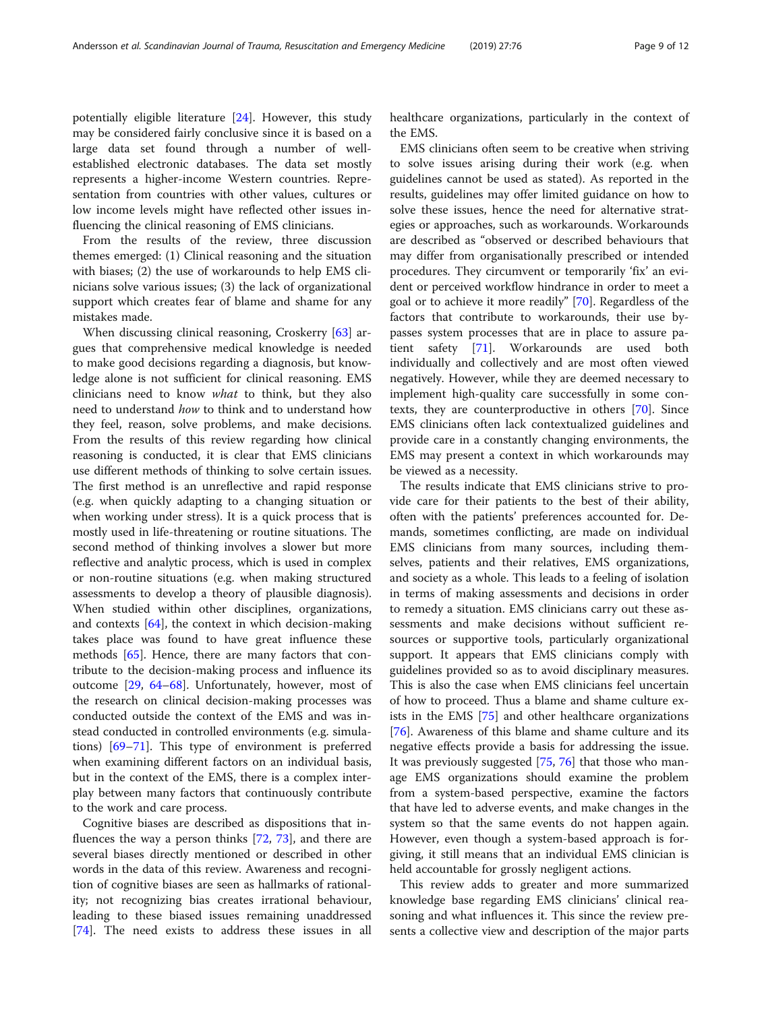potentially eligible literature [[24](#page-10-0)]. However, this study may be considered fairly conclusive since it is based on a large data set found through a number of wellestablished electronic databases. The data set mostly represents a higher-income Western countries. Representation from countries with other values, cultures or low income levels might have reflected other issues influencing the clinical reasoning of EMS clinicians.

From the results of the review, three discussion themes emerged: (1) Clinical reasoning and the situation with biases; (2) the use of workarounds to help EMS clinicians solve various issues; (3) the lack of organizational support which creates fear of blame and shame for any mistakes made.

When discussing clinical reasoning, Croskerry [\[63](#page-10-0)] argues that comprehensive medical knowledge is needed to make good decisions regarding a diagnosis, but knowledge alone is not sufficient for clinical reasoning. EMS clinicians need to know what to think, but they also need to understand how to think and to understand how they feel, reason, solve problems, and make decisions. From the results of this review regarding how clinical reasoning is conducted, it is clear that EMS clinicians use different methods of thinking to solve certain issues. The first method is an unreflective and rapid response (e.g. when quickly adapting to a changing situation or when working under stress). It is a quick process that is mostly used in life-threatening or routine situations. The second method of thinking involves a slower but more reflective and analytic process, which is used in complex or non-routine situations (e.g. when making structured assessments to develop a theory of plausible diagnosis). When studied within other disciplines, organizations, and contexts [[64\]](#page-10-0), the context in which decision-making takes place was found to have great influence these methods [\[65](#page-10-0)]. Hence, there are many factors that contribute to the decision-making process and influence its outcome [\[29](#page-10-0), [64](#page-10-0)–[68\]](#page-11-0). Unfortunately, however, most of the research on clinical decision-making processes was conducted outside the context of the EMS and was instead conducted in controlled environments (e.g. simulations) [\[69](#page-11-0)–[71\]](#page-11-0). This type of environment is preferred when examining different factors on an individual basis, but in the context of the EMS, there is a complex interplay between many factors that continuously contribute to the work and care process.

Cognitive biases are described as dispositions that influences the way a person thinks [\[72](#page-11-0), [73\]](#page-11-0), and there are several biases directly mentioned or described in other words in the data of this review. Awareness and recognition of cognitive biases are seen as hallmarks of rationality; not recognizing bias creates irrational behaviour, leading to these biased issues remaining unaddressed [[74\]](#page-11-0). The need exists to address these issues in all healthcare organizations, particularly in the context of the EMS.

EMS clinicians often seem to be creative when striving to solve issues arising during their work (e.g. when guidelines cannot be used as stated). As reported in the results, guidelines may offer limited guidance on how to solve these issues, hence the need for alternative strategies or approaches, such as workarounds. Workarounds are described as "observed or described behaviours that may differ from organisationally prescribed or intended procedures. They circumvent or temporarily 'fix' an evident or perceived workflow hindrance in order to meet a goal or to achieve it more readily" [[70](#page-11-0)]. Regardless of the factors that contribute to workarounds, their use bypasses system processes that are in place to assure patient safety [\[71\]](#page-11-0). Workarounds are used both individually and collectively and are most often viewed negatively. However, while they are deemed necessary to implement high-quality care successfully in some contexts, they are counterproductive in others [[70\]](#page-11-0). Since EMS clinicians often lack contextualized guidelines and provide care in a constantly changing environments, the EMS may present a context in which workarounds may be viewed as a necessity.

The results indicate that EMS clinicians strive to provide care for their patients to the best of their ability, often with the patients' preferences accounted for. Demands, sometimes conflicting, are made on individual EMS clinicians from many sources, including themselves, patients and their relatives, EMS organizations, and society as a whole. This leads to a feeling of isolation in terms of making assessments and decisions in order to remedy a situation. EMS clinicians carry out these assessments and make decisions without sufficient resources or supportive tools, particularly organizational support. It appears that EMS clinicians comply with guidelines provided so as to avoid disciplinary measures. This is also the case when EMS clinicians feel uncertain of how to proceed. Thus a blame and shame culture exists in the EMS [[75\]](#page-11-0) and other healthcare organizations [[76\]](#page-11-0). Awareness of this blame and shame culture and its negative effects provide a basis for addressing the issue. It was previously suggested [\[75](#page-11-0), [76\]](#page-11-0) that those who manage EMS organizations should examine the problem from a system-based perspective, examine the factors that have led to adverse events, and make changes in the system so that the same events do not happen again. However, even though a system-based approach is forgiving, it still means that an individual EMS clinician is held accountable for grossly negligent actions.

This review adds to greater and more summarized knowledge base regarding EMS clinicians' clinical reasoning and what influences it. This since the review presents a collective view and description of the major parts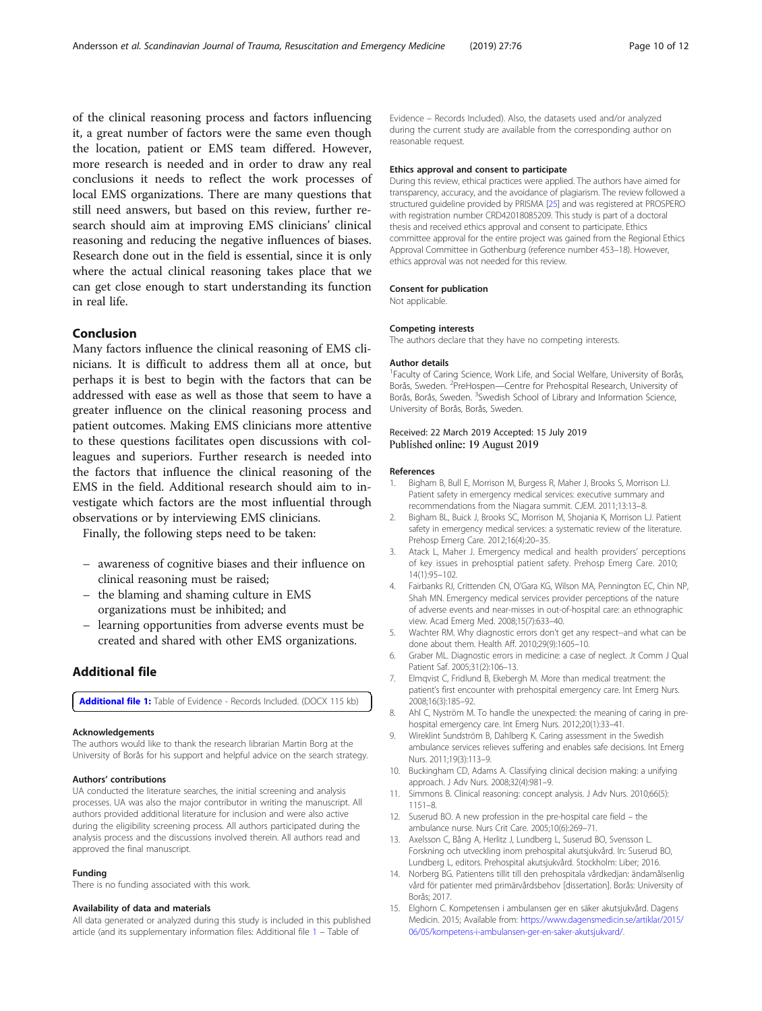<span id="page-9-0"></span>of the clinical reasoning process and factors influencing it, a great number of factors were the same even though the location, patient or EMS team differed. However, more research is needed and in order to draw any real conclusions it needs to reflect the work processes of local EMS organizations. There are many questions that still need answers, but based on this review, further research should aim at improving EMS clinicians' clinical reasoning and reducing the negative influences of biases. Research done out in the field is essential, since it is only where the actual clinical reasoning takes place that we can get close enough to start understanding its function in real life.

## Conclusion

Many factors influence the clinical reasoning of EMS clinicians. It is difficult to address them all at once, but perhaps it is best to begin with the factors that can be addressed with ease as well as those that seem to have a greater influence on the clinical reasoning process and patient outcomes. Making EMS clinicians more attentive to these questions facilitates open discussions with colleagues and superiors. Further research is needed into the factors that influence the clinical reasoning of the EMS in the field. Additional research should aim to investigate which factors are the most influential through observations or by interviewing EMS clinicians.

Finally, the following steps need to be taken:

- awareness of cognitive biases and their influence on clinical reasoning must be raised;
- the blaming and shaming culture in EMS organizations must be inhibited; and
- learning opportunities from adverse events must be created and shared with other EMS organizations.

## Additional file

[Additional file 1:](https://doi.org/10.1186/s13049-019-0646-y) Table of Evidence - Records Included. (DOCX 115 kb)

#### Acknowledgements

The authors would like to thank the research librarian Martin Borg at the University of Borås for his support and helpful advice on the search strategy.

#### Authors' contributions

UA conducted the literature searches, the initial screening and analysis processes. UA was also the major contributor in writing the manuscript. All authors provided additional literature for inclusion and were also active during the eligibility screening process. All authors participated during the analysis process and the discussions involved therein. All authors read and approved the final manuscript.

#### Funding

There is no funding associated with this work.

#### Availability of data and materials

All data generated or analyzed during this study is included in this published article (and its supplementary information files: Additional file 1 – Table of

Evidence – Records Included). Also, the datasets used and/or analyzed during the current study are available from the corresponding author on reasonable request.

## Ethics approval and consent to participate

During this review, ethical practices were applied. The authors have aimed for transparency, accuracy, and the avoidance of plagiarism. The review followed a structured guideline provided by PRISMA [[25\]](#page-10-0) and was registered at PROSPERO with registration number CRD42018085209. This study is part of a doctoral thesis and received ethics approval and consent to participate. Ethics committee approval for the entire project was gained from the Regional Ethics Approval Committee in Gothenburg (reference number 453–18). However, ethics approval was not needed for this review.

#### Consent for publication

Not applicable.

#### Competing interests

The authors declare that they have no competing interests.

## Author details

<sup>1</sup> Faculty of Caring Science, Work Life, and Social Welfare, University of Borås Borås, Sweden. <sup>2</sup>PreHospen—Centre for Prehospital Research, University of Borås, Borås, Sweden. <sup>3</sup>Swedish School of Library and Information Science, University of Borås, Borås, Sweden.

## Received: 22 March 2019 Accepted: 15 July 2019 Published online: 19 August 2019

#### References

- 1. Bigham B, Bull E, Morrison M, Burgess R, Maher J, Brooks S, Morrison LJ. Patient safety in emergency medical services: executive summary and recommendations from the Niagara summit. CJEM. 2011;13:13–8.
- 2. Bigham BL, Buick J, Brooks SC, Morrison M, Shojania K, Morrison LJ. Patient safety in emergency medical services: a systematic review of the literature. Prehosp Emerg Care. 2012;16(4):20–35.
- 3. Atack L, Maher J. Emergency medical and health providers' perceptions of key issues in prehosptial patient safety. Prehosp Emerg Care. 2010; 14(1):95–102.
- 4. Fairbanks RJ, Crittenden CN, O'Gara KG, Wilson MA, Pennington EC, Chin NP, Shah MN. Emergency medical services provider perceptions of the nature of adverse events and near-misses in out-of-hospital care: an ethnographic view. Acad Emerg Med. 2008;15(7):633–40.
- 5. Wachter RM. Why diagnostic errors don't get any respect--and what can be done about them. Health Aff. 2010;29(9):1605–10.
- 6. Graber ML. Diagnostic errors in medicine: a case of neglect. Jt Comm J Qual Patient Saf. 2005;31(2):106–13.
- 7. Elmqvist C, Fridlund B, Ekebergh M. More than medical treatment: the patient's first encounter with prehospital emergency care. Int Emerg Nurs. 2008;16(3):185–92.
- 8. Ahl C, Nyström M. To handle the unexpected: the meaning of caring in prehospital emergency care. Int Emerg Nurs. 2012;20(1):33–41.
- 9. Wireklint Sundström B, Dahlberg K. Caring assessment in the Swedish ambulance services relieves suffering and enables safe decisions. Int Emerg Nurs. 2011;19(3):113–9.
- 10. Buckingham CD, Adams A. Classifying clinical decision making: a unifying approach. J Adv Nurs. 2008;32(4):981–9.
- 11. Simmons B. Clinical reasoning: concept analysis. J Adv Nurs. 2010;66(5): 1151–8.
- 12. Suserud BO. A new profession in the pre-hospital care field the ambulance nurse. Nurs Crit Care. 2005;10(6):269–71.
- 13. Axelsson C, Bång A, Herlitz J, Lundberg L, Suserud BO, Svensson L. Forskning och utveckling inom prehospital akutsjukvård. In: Suserud BO, Lundberg L, editors. Prehospital akutsjukvård. Stockholm: Liber; 2016.
- 14. Norberg BG. Patientens tillit till den prehospitala vårdkedjan: ändamålsenlig vård för patienter med primärvårdsbehov [dissertation]. Borås: University of Borås; 2017.
- 15. Elghorn C. Kompetensen i ambulansen ger en säker akutsjukvård. Dagens Medicin. 2015; Available from: [https://www.dagensmedicin.se/artiklar/2015/](https://www.dagensmedicin.se/artiklar/2015/06/05/kompetens-i-ambulansen-ger-en-saker-akutsjukvard/) [06/05/kompetens-i-ambulansen-ger-en-saker-akutsjukvard/](https://www.dagensmedicin.se/artiklar/2015/06/05/kompetens-i-ambulansen-ger-en-saker-akutsjukvard/).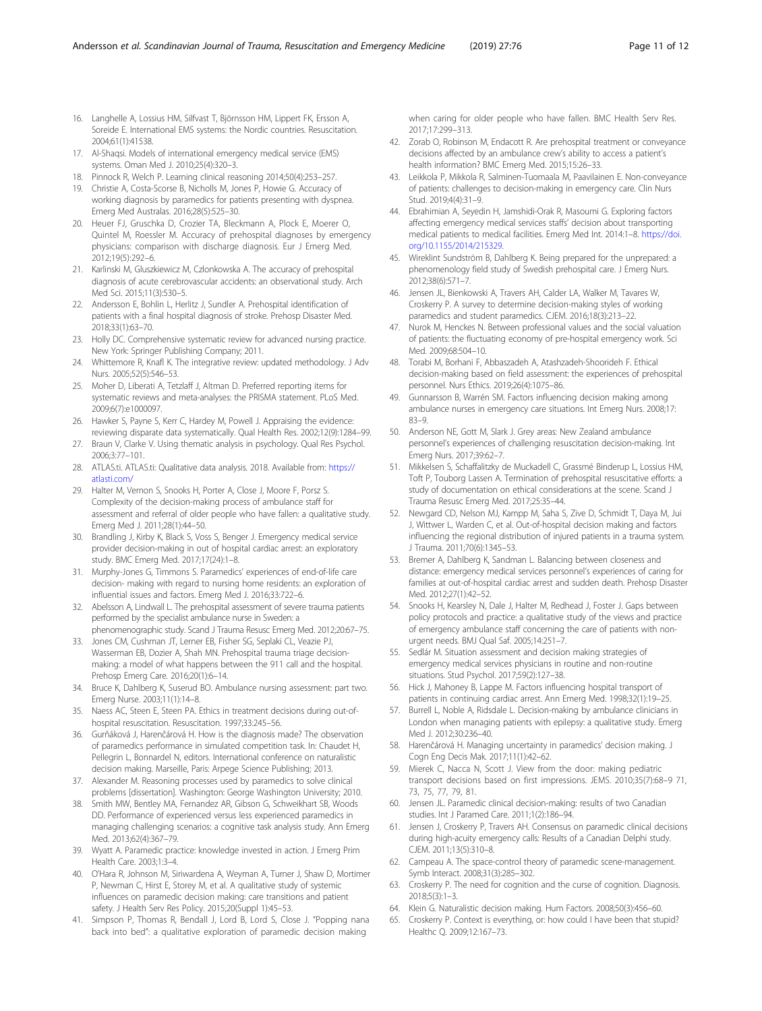- <span id="page-10-0"></span>16. Langhelle A, Lossius HM, Silfvast T, Björnsson HM, Lippert FK, Ersson A, Soreide E. International EMS systems: the Nordic countries. Resuscitation. 2004;61(1):41538.
- 17. Al-Shaqsi. Models of international emergency medical service (EMS) systems. Oman Med J. 2010;25(4):320–3.
- 18. Pinnock R, Welch P. Learning clinical reasoning 2014;50(4):253–257.
- 19. Christie A, Costa-Scorse B, Nicholls M, Jones P, Howie G. Accuracy of working diagnosis by paramedics for patients presenting with dyspnea. Emerg Med Australas. 2016;28(5):525–30.
- 20. Heuer FJ, Gruschka D, Crozier TA, Bleckmann A, Plock E, Moerer O, Quintel M, Roessler M. Accuracy of prehospital diagnoses by emergency physicians: comparison with discharge diagnosis. Eur J Emerg Med. 2012;19(5):292–6.
- 21. Karlinski M, Gluszkiewicz M, Czlonkowska A. The accuracy of prehospital diagnosis of acute cerebrovascular accidents: an observational study. Arch Med Sci. 2015;11(3):530–5.
- 22. Andersson E, Bohlin L, Herlitz J, Sundler A. Prehospital identification of patients with a final hospital diagnosis of stroke. Prehosp Disaster Med. 2018;33(1):63–70.
- 23. Holly DC. Comprehensive systematic review for advanced nursing practice. New York: Springer Publishing Company; 2011.
- 24. Whittemore R, Knafl K. The integrative review: updated methodology. J Adv Nurs. 2005;52(5):546–53.
- 25. Moher D, Liberati A, Tetzlaff J, Altman D. Preferred reporting items for systematic reviews and meta-analyses: the PRISMA statement. PLoS Med. 2009;6(7):e1000097.
- 26. Hawker S, Payne S, Kerr C, Hardey M, Powell J. Appraising the evidence: reviewing disparate data systematically. Qual Health Res. 2002;12(9):1284–99.
- 27. Braun V, Clarke V. Using thematic analysis in psychology. Qual Res Psychol. 2006;3:77–101.
- 28. ATLAS.ti. ATLAS.ti: Qualitative data analysis. 2018. Available from: [https://](https://atlasti.com/) [atlasti.com/](https://atlasti.com/)
- 29. Halter M, Vernon S, Snooks H, Porter A, Close J, Moore F, Porsz S. Complexity of the decision-making process of ambulance staff for assessment and referral of older people who have fallen: a qualitative study. Emerg Med J. 2011;28(1):44–50.
- 30. Brandling J, Kirby K, Black S, Voss S, Benger J. Emergency medical service provider decision-making in out of hospital cardiac arrest: an exploratory study. BMC Emerg Med. 2017;17(24):1–8.
- 31. Murphy-Jones G, Timmons S. Paramedics' experiences of end-of-life care decision- making with regard to nursing home residents: an exploration of influential issues and factors. Emerg Med J. 2016;33:722–6.
- 32. Abelsson A, Lindwall L. The prehospital assessment of severe trauma patients performed by the specialist ambulance nurse in Sweden: a phenomenographic study. Scand J Trauma Resusc Emerg Med. 2012;20:67–75.
- 33. Jones CM, Cushman JT, Lerner EB, Fisher SG, Seplaki CL, Veazie PJ, Wasserman EB, Dozier A, Shah MN. Prehospital trauma triage decisionmaking: a model of what happens between the 911 call and the hospital. Prehosp Emerg Care. 2016;20(1):6–14.
- 34. Bruce K, Dahlberg K, Suserud BO. Ambulance nursing assessment: part two. Emerg Nurse. 2003;11(1):14–8.
- 35. Naess AC, Steen E, Steen PA. Ethics in treatment decisions during out-ofhospital resuscitation. Resuscitation. 1997;33:245–56.
- 36. Gurňáková J, Harenčárová H. How is the diagnosis made? The observation of paramedics performance in simulated competition task. In: Chaudet H, Pellegrin L, Bonnardel N, editors. International conference on naturalistic decision making. Marseille, Paris: Arpege Science Publishing; 2013.
- 37. Alexander M. Reasoning processes used by paramedics to solve clinical problems [dissertation]. Washington: George Washington University; 2010.
- 38. Smith MW, Bentley MA, Fernandez AR, Gibson G, Schweikhart SB, Woods DD. Performance of experienced versus less experienced paramedics in managing challenging scenarios: a cognitive task analysis study. Ann Emerg Med. 2013;62(4):367–79.
- 39. Wyatt A. Paramedic practice: knowledge invested in action. J Emerg Prim Health Care. 2003;1:3–4.
- 40. O'Hara R, Johnson M, Siriwardena A, Weyman A, Turner J, Shaw D, Mortimer P, Newman C, Hirst E, Storey M, et al. A qualitative study of systemic influences on paramedic decision making: care transitions and patient safety. J Health Serv Res Policy. 2015;20(Suppl 1):45–53.
- 41. Simpson P, Thomas R, Bendall J, Lord B, Lord S, Close J. "Popping nana back into bed": a qualitative exploration of paramedic decision making

when caring for older people who have fallen. BMC Health Serv Res. 2017;17:299–313.

- 42. Zorab O, Robinson M, Endacott R. Are prehospital treatment or conveyance decisions affected by an ambulance crew's ability to access a patient's health information? BMC Emerg Med. 2015;15:26–33.
- 43. Leikkola P, Mikkola R, Salminen-Tuomaala M, Paavilainen E. Non-conveyance of patients: challenges to decision-making in emergency care. Clin Nurs Stud. 2019;4(4):31–9.
- 44. Ebrahimian A, Seyedin H, Jamshidi-Orak R, Masoumi G. Exploring factors affecting emergency medical services staffs' decision about transporting medical patients to medical facilities. Emerg Med Int. 2014:1–8. [https://doi.](https://doi.org/10.1155/2014/215329) [org/10.1155/2014/215329.](https://doi.org/10.1155/2014/215329)
- 45. Wireklint Sundström B, Dahlberg K. Being prepared for the unprepared: a phenomenology field study of Swedish prehospital care. J Emerg Nurs. 2012;38(6):571–7.
- 46. Jensen JL, Bienkowski A, Travers AH, Calder LA, Walker M, Tavares W, Croskerry P. A survey to determine decision-making styles of working paramedics and student paramedics. CJEM. 2016;18(3):213–22.
- 47. Nurok M, Henckes N. Between professional values and the social valuation of patients: the fluctuating economy of pre-hospital emergency work. Sci Med. 2009;68:504–10.
- 48. Torabi M, Borhani F, Abbaszadeh A, Atashzadeh-Shoorideh F. Ethical decision-making based on field assessment: the experiences of prehospital personnel. Nurs Ethics. 2019;26(4):1075–86.
- 49. Gunnarsson B, Warrén SM. Factors influencing decision making among ambulance nurses in emergency care situations. Int Emerg Nurs. 2008;17: 83–9.
- 50. Anderson NE, Gott M, Slark J. Grey areas: New Zealand ambulance personnel's experiences of challenging resuscitation decision-making. Int Emerg Nurs. 2017;39:62–7.
- 51. Mikkelsen S, Schaffalitzky de Muckadell C, Grassmé Binderup L, Lossius HM, Toft P, Touborg Lassen A. Termination of prehospital resuscitative efforts: a study of documentation on ethical considerations at the scene. Scand J Trauma Resusc Emerg Med. 2017;25:35–44.
- 52. Newgard CD, Nelson MJ, Kampp M, Saha S, Zive D, Schmidt T, Daya M, Jui J, Wittwer L, Warden C, et al. Out-of-hospital decision making and factors influencing the regional distribution of injured patients in a trauma system. J Trauma. 2011;70(6):1345–53.
- 53. Bremer A, Dahlberg K, Sandman L. Balancing between closeness and distance: emergency medical services personnel's experiences of caring for families at out-of-hospital cardiac arrest and sudden death. Prehosp Disaster Med. 2012;27(1):42–52.
- 54. Snooks H, Kearsley N, Dale J, Halter M, Redhead J, Foster J. Gaps between policy protocols and practice: a qualitative study of the views and practice of emergency ambulance staff concerning the care of patients with nonurgent needs. BMJ Qual Saf. 2005;14:251–7.
- 55. Sedlár M. Situation assessment and decision making strategies of emergency medical services physicians in routine and non-routine situations. Stud Psychol. 2017;59(2):127–38.
- 56. Hick J, Mahoney B, Lappe M. Factors influencing hospital transport of patients in continuing cardiac arrest. Ann Emerg Med. 1998;32(1):19–25.
- 57. Burrell L, Noble A, Ridsdale L. Decision-making by ambulance clinicians in London when managing patients with epilepsy: a qualitative study. Emerg Med J. 2012;30:236–40.
- 58. Harenčárová H. Managing uncertainty in paramedics' decision making. J Cogn Eng Decis Mak. 2017;11(1):42–62.
- 59. Mierek C, Nacca N, Scott J. View from the door: making pediatric transport decisions based on first impressions. JEMS. 2010;35(7):68–9 71, 73, 75, 77, 79, 81.
- 60. Jensen JL. Paramedic clinical decision-making: results of two Canadian studies. Int J Paramed Care. 2011;1(2):186–94.
- 61. Jensen J, Croskerry P, Travers AH. Consensus on paramedic clinical decisions during high-acuity emergency calls: Results of a Canadian Delphi study. CJEM. 2011;13(5):310–8.
- 62. Campeau A. The space-control theory of paramedic scene-management. Symb Interact. 2008;31(3):285–302.
- 63. Croskerry P. The need for cognition and the curse of cognition. Diagnosis. 2018;5(3):1–3.
- 64. Klein G. Naturalistic decision making. Hum Factors. 2008;50(3):456–60.
- 65. Croskerry P. Context is everything, or: how could I have been that stupid? Healthc Q. 2009;12:167–73.